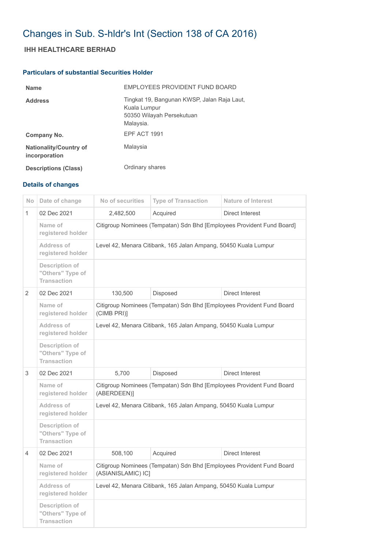## Changes in Sub. S-hldr's Int (Section 138 of CA 2016)

## **IHH HEALTHCARE BERHAD**

## **Particulars of substantial Securities Holder**

| <b>Name</b>                                    | EMPLOYEES PROVIDENT FUND BOARD                                                                        |
|------------------------------------------------|-------------------------------------------------------------------------------------------------------|
| <b>Address</b>                                 | Tingkat 19, Bangunan KWSP, Jalan Raja Laut,<br>Kuala Lumpur<br>50350 Wilayah Persekutuan<br>Malaysia. |
| Company No.                                    | EPF ACT 1991                                                                                          |
| <b>Nationality/Country of</b><br>incorporation | Malaysia                                                                                              |
| <b>Descriptions (Class)</b>                    | Ordinary shares                                                                                       |

## **Details of changes**

| No.           | Date of change                                           | No of securities                                                                            | <b>Type of Transaction</b> | <b>Nature of Interest</b> |  |
|---------------|----------------------------------------------------------|---------------------------------------------------------------------------------------------|----------------------------|---------------------------|--|
| 1             | 02 Dec 2021                                              | 2,482,500                                                                                   | Acquired                   | Direct Interest           |  |
|               | Name of<br>registered holder                             | Citigroup Nominees (Tempatan) Sdn Bhd [Employees Provident Fund Board]                      |                            |                           |  |
|               | Address of<br>registered holder                          | Level 42, Menara Citibank, 165 Jalan Ampang, 50450 Kuala Lumpur                             |                            |                           |  |
|               | Description of<br>"Others" Type of<br><b>Transaction</b> |                                                                                             |                            |                           |  |
| $\mathcal{P}$ | 02 Dec 2021                                              | 130,500                                                                                     | Disposed                   | <b>Direct Interest</b>    |  |
|               | Name of<br>registered holder                             | Citigroup Nominees (Tempatan) Sdn Bhd [Employees Provident Fund Board<br>(CIMB PRI)]        |                            |                           |  |
|               | Address of<br>registered holder                          | Level 42, Menara Citibank, 165 Jalan Ampang, 50450 Kuala Lumpur                             |                            |                           |  |
|               | Description of<br>"Others" Type of<br><b>Transaction</b> |                                                                                             |                            |                           |  |
| 3             | 02 Dec 2021                                              | 5,700                                                                                       | Disposed                   | Direct Interest           |  |
|               | Name of<br>registered holder                             | Citigroup Nominees (Tempatan) Sdn Bhd [Employees Provident Fund Board<br>(ABERDEEN)]        |                            |                           |  |
|               | <b>Address of</b><br>registered holder                   | Level 42, Menara Citibank, 165 Jalan Ampang, 50450 Kuala Lumpur                             |                            |                           |  |
|               | Description of<br>"Others" Type of<br><b>Transaction</b> |                                                                                             |                            |                           |  |
| 4             | 02 Dec 2021                                              | 508,100                                                                                     | Acquired                   | <b>Direct Interest</b>    |  |
|               | Name of<br>registered holder                             | Citigroup Nominees (Tempatan) Sdn Bhd [Employees Provident Fund Board<br>(ASIANISLAMIC) IC] |                            |                           |  |
|               | Address of<br>registered holder                          | Level 42, Menara Citibank, 165 Jalan Ampang, 50450 Kuala Lumpur                             |                            |                           |  |
|               | Description of<br>"Others" Type of<br><b>Transaction</b> |                                                                                             |                            |                           |  |